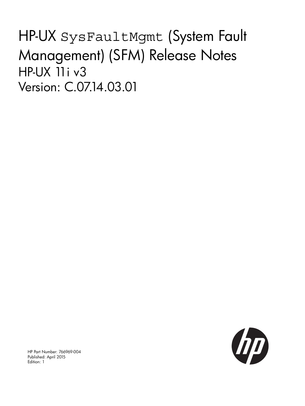# HP-UX SysFaultMgmt (System Fault Management) (SFM) Release Notes HP-UX 11i v3 Version: C.07.14.03.01



HP Part Number: 766969-004 Published: April 2015 Edition: 1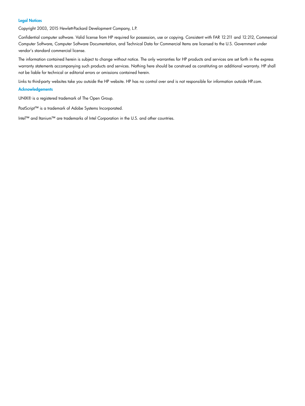#### Legal Notices

Copyright 2003, 2015 Hewlett-Packard Development Company, L.P.

Confidential computer software. Valid license from HP required for possession, use or copying. Consistent with FAR 12.211 and 12.212, Commercial Computer Software, Computer Software Documentation, and Technical Data for Commercial Items are licensed to the U.S. Government under vendor's standard commercial license.

The information contained herein is subject to change without notice. The only warranties for HP products and services are set forth in the express warranty statements accompanying such products and services. Nothing here should be construed as constituting an additional warranty. HP shall not be liable for technical or editorial errors or omissions contained herein.

Links to third-party websites take you outside the HP website. HP has no control over and is not responsible for information outside HP.com.

#### **Acknowledgements**

UNIX® is a registered trademark of The Open Group.

PostScript™ is a trademark of Adobe Systems Incorporated.

Intel™ and Itanium™ are trademarks of Intel Corporation in the U.S. and other countries.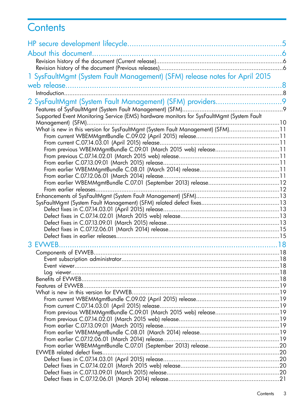# **Contents**

|                                                                                           | 5 |
|-------------------------------------------------------------------------------------------|---|
| About this document.                                                                      |   |
|                                                                                           |   |
|                                                                                           |   |
| 1 SysFaultMgmt (System Fault Management) (SFM) release notes for April 2015               |   |
|                                                                                           |   |
|                                                                                           |   |
|                                                                                           |   |
|                                                                                           |   |
|                                                                                           |   |
| Supported Event Monitoring Service (EMS) hardware monitors for SysFaultMgmt (System Fault |   |
| What is new in this version for SysFaultMgmt (System Fault Management) (SFM)11            |   |
|                                                                                           |   |
|                                                                                           |   |
|                                                                                           |   |
|                                                                                           |   |
|                                                                                           |   |
|                                                                                           |   |
|                                                                                           |   |
|                                                                                           |   |
|                                                                                           |   |
|                                                                                           |   |
|                                                                                           |   |
|                                                                                           |   |
|                                                                                           |   |
|                                                                                           |   |
|                                                                                           |   |
|                                                                                           |   |
|                                                                                           |   |
|                                                                                           |   |
|                                                                                           |   |
|                                                                                           |   |
|                                                                                           |   |
|                                                                                           |   |
|                                                                                           |   |
|                                                                                           |   |
|                                                                                           |   |
|                                                                                           |   |
|                                                                                           |   |
|                                                                                           |   |
|                                                                                           |   |
|                                                                                           |   |
|                                                                                           |   |
|                                                                                           |   |
|                                                                                           |   |
|                                                                                           |   |
|                                                                                           |   |
|                                                                                           |   |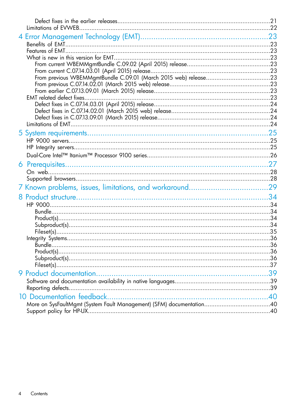| 7 Known problems, issues, limitations, and workaround | .29 |
|-------------------------------------------------------|-----|
|                                                       |     |
|                                                       |     |
|                                                       |     |
|                                                       |     |
|                                                       |     |
|                                                       |     |
|                                                       |     |
|                                                       |     |
|                                                       |     |
|                                                       |     |
|                                                       |     |
|                                                       |     |
|                                                       |     |
|                                                       |     |
|                                                       |     |
|                                                       |     |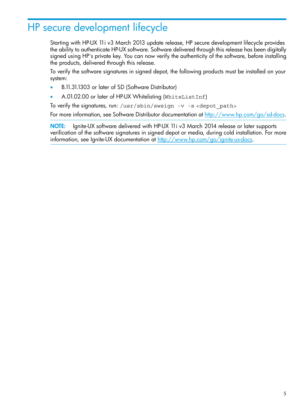# <span id="page-4-0"></span>HP secure development lifecycle

Starting with HP-UX 11i v3 March 2013 update release, HP secure development lifecycle provides the ability to authenticate HP-UX software. Software delivered through this release has been digitally signed using HP's private key. You can now verify the authenticity of the software, before installing the products, delivered through this release.

To verify the software signatures in signed depot, the following products must be installed on your system:

- B.11.31.1303 or later of SD (Software Distributor)
- A.01.02.00 or later of HP-UX Whitelisting (WhiteListInf)

To verify the signatures, run:  $\sqrt{usr/sbin/sw}$  -v -s <depot path>

For more information, see Software Distributor documentation at <http://www.hp.com/go/sd-docs>.

NOTE: Ignite-UX software delivered with HP-UX 11i v3 March 2014 release or later supports verification of the software signatures in signed depot or media, during cold installation. For more information, see Ignite-UX documentation at <http://www.hp.com/go/ignite-ux-docs>.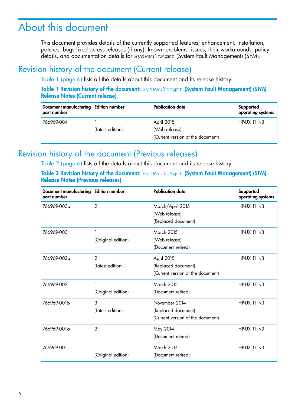# <span id="page-5-0"></span>About this document

<span id="page-5-1"></span>This document provides details of the currently supported features, enhancement, installation, patches, bugs fixed across releases (if any), known problems, issues, their workarounds, policy details, and documentation details for SysFaultMgmt (System Fault Management) (SFM).

## Revision history of the document (Current release)

<span id="page-5-3"></span>Table 1 [\(page](#page-5-3) 6) lists all the details about this document and its release history.

Table 1 Revision history of the document: SysFaultMgmt (System Fault Management) (SFM) Release Notes (Current release)

| Document manufacturing Edition number<br>part number |                  | <b>Publication date</b>                                          | Supported<br>operating systems |
|------------------------------------------------------|------------------|------------------------------------------------------------------|--------------------------------|
| 766969-004                                           | (Latest edition) | April 2015<br>(Web release)<br>(Current version of the document) | $HP-UX$ 11 $i$ v3              |

## <span id="page-5-2"></span>Revision history of the document (Previous releases)

<span id="page-5-4"></span>Table 2 [\(page](#page-5-4) 6) lists all the details about this document and its release history.

Table 2 Revision history of the document: SysFaultMgmt (System Fault Management) (SFM) Release Notes (Previous releases)

| <b>Document manufacturing</b><br>part number | <b>Edition number</b>              | <b>Publication date</b>                                                   | Supported<br>operating systems |
|----------------------------------------------|------------------------------------|---------------------------------------------------------------------------|--------------------------------|
| 766969-003a                                  | $\overline{2}$                     | March/April 2015<br>(Web release)<br>(Replaced document)                  | HP-UX 11 iv3                   |
| 766969-003                                   | (Original edition)                 | <b>March 2015</b><br>(Web release)<br>(Document retired)                  | $HP-UX$ 11 $iv3$               |
| 766969-002a                                  | $\overline{2}$<br>(Latest edition) | April 2015<br>(Replaced document)<br>(Current version of the document)    | HP-UX 11 i v3                  |
| 766969-002                                   | (Original edition)                 | <b>March 2015</b><br>(Document retired)                                   | HP-UX 11 iv3                   |
| 766969-001b                                  | 3<br>(Latest edition)              | November 2014<br>(Replaced document)<br>(Current version of the document) | HP-UX 11 iv3                   |
| 766969-001 a                                 | $\overline{2}$                     | May 2014<br>(Document retired)                                            | $HP-UX$ 11 $iv3$               |
| 766969-001                                   | (Original edition)                 | <b>March 2014</b><br>(Document retired)                                   | HP-UX 11 i v3                  |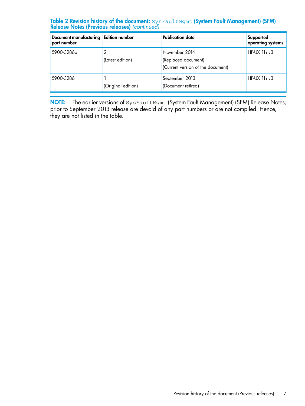#### **Table 2 Revision history of the document:**  $\texttt{SystemCount}$  (System Fault Management) (SFM) Release Notes (Previous releases) *(continued)*

| Document manufacturing Edition number<br>part number |                    | <b>Publication date</b>                                                   | Supported<br>operating systems |
|------------------------------------------------------|--------------------|---------------------------------------------------------------------------|--------------------------------|
| 5900-3286a                                           | (Latest edition)   | November 2014<br>(Replaced document)<br>(Current version of the document) | $HP-UX$ 11 $i$ $v3$            |
| 5900-3286                                            | (Original edition) | September 2013<br>(Document retired)                                      | $HP-UX$ 11 $iv3$               |

**NOTE:** The earlier versions of <code>SysFaultMgmt</code> (System Fault Management) (SFM) Release Notes, prior to September 2013 release are devoid of any part numbers or are not compiled. Hence, they are not listed in the table.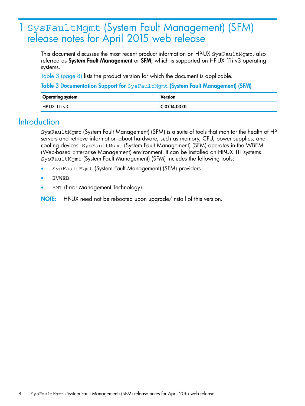# <span id="page-7-0"></span>1 SysFaultMgmt (System Fault Management) (SFM) release notes for April 2015 web release

This document discusses the most recent product information on HP-UX SysFaultMgmt, also referred as **System Fault Management** or **SFM**, which is supported on HP-UX 11*i* v3 operating systems.

<span id="page-7-2"></span>Table 3 [\(page](#page-7-2) 8) lists the product version for which the document is applicable.

Table 3 Documentation Support for SysFaultMgmt (System Fault Management) (SFM)

<span id="page-7-1"></span>

| <b>Operating system</b> | <b>Version</b> |
|-------------------------|----------------|
| $HP-UX$ 11 i $v3$       | C.07.14.03.01  |

## **Introduction**

SysFaultMgmt (System Fault Management) (SFM) is a suite of tools that monitor the health of HP servers and retrieve information about hardware, such as memory, CPU, power supplies, and cooling devices. SysFaultMgmt (System Fault Management) (SFM) operates in the WBEM (Web-based Enterprise Management) environment. It can be installed on HP-UX 11i systems. SysFaultMgmt (System Fault Management) (SFM) includes the following tools:

- SysFaultMgmt (System Fault Management) (SFM) providers
- EVWEB
- EMT (Error Management Technology)

NOTE: HP-UX need not be rebooted upon upgrade/install of this version.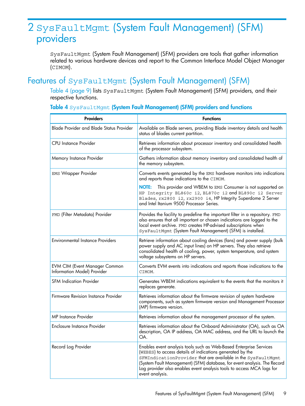# <span id="page-8-0"></span>2 SysFaultMgmt (System Fault Management) (SFM) providers

<span id="page-8-1"></span>SysFaultMgmt (System Fault Management) (SFM) providers are tools that gather information related to various hardware devices and report to the Common Interface Model Object Manager (CIMOM).

## Features of SysFaultMgmt (System Fault Management) (SFM)

<span id="page-8-2"></span>Table 4 [\(page](#page-8-2) 9) lists SysFaultMgmt (System Fault Management) (SFM) providers, and their respective functions.

| <b>Providers</b>                                                    | <b>Functions</b>                                                                                                                                                                                                                                                                                                                                                        |
|---------------------------------------------------------------------|-------------------------------------------------------------------------------------------------------------------------------------------------------------------------------------------------------------------------------------------------------------------------------------------------------------------------------------------------------------------------|
| <b>Blade Provider and Blade Status Provider</b>                     | Available on Blade servers, providing Blade inventory details and health<br>status of blades current partition.                                                                                                                                                                                                                                                         |
| <b>CPU</b> Instance Provider                                        | Retrieves information about processor inventory and consolidated health<br>of the processor subsystem.                                                                                                                                                                                                                                                                  |
| Memory Instance Provider                                            | Gathers information about memory inventory and consolidated health of<br>the memory subsystem.                                                                                                                                                                                                                                                                          |
| <b>EMS Wrapper Provider</b>                                         | Converts events generated by the EMS hardware monitors into indications<br>and reports those indications to the CIMOM.                                                                                                                                                                                                                                                  |
|                                                                     | This provider and WBEM to EMS Consumer is not supported on<br>NOTE:<br>HP Integrity BL860c i2, BL870c i2 and BL890c i2 Server<br>Blades, rx2800 i2, rx2900 i4, HP Integrity Superdome 2 Server<br>and Intel Itanium 9500 Processor Series.                                                                                                                              |
| FMD (Filter Metadata) Provider                                      | Provides the facility to predefine the important filter in a repository. FMD<br>also ensures that all important or chosen indications are logged to the<br>local event archive. FMD creates HP-advised subscriptions when<br>SysFaultMgmt (System Fault Management) (SFM) is installed.                                                                                 |
| <b>Environmental Instance Providers</b>                             | Retrieve information about cooling devices (fans) and power supply (bulk<br>power supply and AC input lines) on HP servers. They also retrieve<br>consolidated health of cooling, power, system temperature, and system<br>voltage subsystems on HP servers.                                                                                                            |
| <b>EVM CIM (Event Manager Common</b><br>Information Model) Provider | Converts EVM events into indications and reports those indications to the<br>CIMOM.                                                                                                                                                                                                                                                                                     |
| <b>SFM Indication Provider</b>                                      | Generates WBEM indications equivalent to the events that the monitors it<br>replaces generate.                                                                                                                                                                                                                                                                          |
| Firmware Revision Instance Provider                                 | Retrieves information about the firmware revision of system hardware<br>components, such as system firmware version and Management Processor<br>(MP) firmware version.                                                                                                                                                                                                  |
| MP Instance Provider                                                | Retrieves information about the management processor of the system.                                                                                                                                                                                                                                                                                                     |
| Enclosure Instance Provider                                         | Retrieves information about the Onboard Administrator (OA), such as OA<br>description, OA IP address, OA MAC address, and the URL to launch the<br>OA.                                                                                                                                                                                                                  |
| Record Log Provider                                                 | Enables event analysis tools such as Web-Based Enterprise Services<br>(WEBES) to access details of indications generated by the<br>SFMIndicationProvider that are available in the SysFaultMgmt<br>(System Fault Management) (SFM) database, for event analysis. The Record<br>Log provider also enables event analysis tools to access MCA logs for<br>event analysis. |

#### Table 4 SysFaultMgmt (System Fault Management) (SFM) providers and functions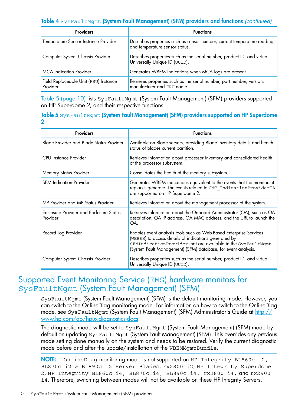#### Table 4 SysFaultMgmt (System Fault Management) (SFM) providers and functions *(continued)*

| <b>Providers</b>                                  | <b>Functions</b>                                                                                           |
|---------------------------------------------------|------------------------------------------------------------------------------------------------------------|
| Temperature Sensor Instance Provider              | Describes properties such as sensor number, current temperature reading,<br>and temperature sensor status. |
| Computer System Chassis Provider                  | Describes properties such as the serial number, product ID, and virtual<br>Universally Unique ID (UUID).   |
| <b>MCA</b> Indication Provider                    | Generates WBEM indications when MCA logs are present.                                                      |
| Field Replaceable Unit (FRU) Instance<br>Provider | Retrieves properties such as the serial number, part number, version,<br>manufacturer and FRU name.        |

<span id="page-9-1"></span>Table 5 [\(page](#page-9-1) 10) lists SysFaultMgmt (System Fault Management) (SFM) providers supported on HP Superdome 2, and their respective functions.

#### Table 5 SysFaultMgmt (System Fault Management) (SFM) providers supported on HP Superdome 2

| <b>Providers</b>                                           | <b>Functions</b>                                                                                                                                                                                                                                             |
|------------------------------------------------------------|--------------------------------------------------------------------------------------------------------------------------------------------------------------------------------------------------------------------------------------------------------------|
| <b>Blade Provider and Blade Status Provider</b>            | Available on Blade servers, providing Blade Inventory details and health<br>status of blades current partition.                                                                                                                                              |
| CPU Instance Provider                                      | Retrieves information about processor inventory and consolidated health<br>of the processor subsystem.                                                                                                                                                       |
| Memory Status Provider                                     | Consolidates the health of the memory subsystem.                                                                                                                                                                                                             |
| <b>SFM Indication Provider</b>                             | Generates WBEM indications equivalent to the events that the monitors it<br>replaces generate. The events related to CMC IndicationProviderIA<br>are supported on HP Superdome 2.                                                                            |
| MP Provider and MP Status Provider                         | Retrieves information about the management processor of the system.                                                                                                                                                                                          |
| <b>Enclosure Provider and Enclosure Status</b><br>Provider | Retrieves information about the Onboard Administrator (OA), such as OA<br>description, OA IP address, OA MAC address, and the URL to launch the<br>OA.                                                                                                       |
| Record Log Provider                                        | Enables event analysis tools such as Web-Based Enterprise Services<br>(WEBES) to access details of indications generated by<br>SFMIndicationProvider that are available in the SysFaultMgmt<br>(System Fault Management) (SFM) database, for event analysis. |
| Computer System Chassis Provider                           | Describes properties such as the serial number, product ID, and virtual<br>Universally Unique ID (UUID).                                                                                                                                                     |

## <span id="page-9-0"></span>Supported Event Monitoring Service (EMS) hardware monitors for SysFaultMgmt (System Fault Management) (SFM)

SysFaultMgmt (System Fault Management) (SFM) is the default monitoring mode. However, you can switch to the OnlineDiag monitoring mode. For information on how to switch to the OnlineDiag mode, see SysFaultMgmt (System Fault Management) (SFM) Administrator's Guide at [http://](http://www.hp.com/go/hpux-diagnostics-docs) [www.hp.com/go/hpux-diagnostics-docs.](http://www.hp.com/go/hpux-diagnostics-docs)

The diagnostic mode will be set to SysFaultMgmt (System Fault Management) (SFM) mode by default on updating SysFaultMgmt (System Fault Management) (SFM). This overrides any previous mode setting done manually on the system and needs to be restored. Verify the current diagnostic mode before and after the update/installation of the WBEMMgmtBundle.

**NOTE:** OnlineDiag monitoring mode is not supported on HP Integrity BL860c i2, BL870c i2 & BL890c i2 Server Blades, rx2800 i2, HP Integrity Superdome 2, HP Integrity BL860c i4, BL870c i4, BL890c i4, rx2800 i4, and rx2900 i4. Therefore, switching between modes will not be available on these HP Integrity Servers.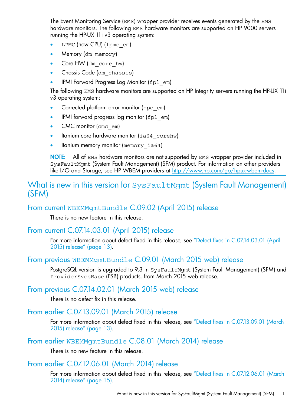The Event Monitoring Service (EMS) wrapper provider receives events generated by the EMS hardware monitors. The following EMS hardware monitors are supported on HP 9000 servers running the HP-UX 11i v3 operating system:

- LPMC (now CPU) (1pmc\_em)
- Memory (dm\_memory)
- Core HW (dm\_core\_hw)
- Chassis Code (dm chassis)
- IPMI Forward Progress Log Monitor (fpl\_em)

The following EMS hardware monitors are supported on HP Integrity servers running the HP-UX 11i v3 operating system:

- Corrected platform error monitor (cpe\_em)
- IPMI forward progress log monitor (fpl em)
- CMC monitor (cmc\_em)
- Itanium core hardware monitor (ia64\_corehw)
- Itanium memory monitor (memory ia64)

<span id="page-10-0"></span>NOTE: All of EMS hardware monitors are not supported by EMS wrapper provider included in SysFaultMgmt (System Fault Management) (SFM) product. For information on other providers like I/O and Storage, see HP WBEM providers at [http://www.hp.com/go/hpux-wbem-docs.](http://www.hp.com/go/hpux-wbem-docs)

## <span id="page-10-1"></span>What is new in this version for SysFaultMgmt (System Fault Management) (SFM)

## From current WBEMMgmtBundle C.09.02 (April 2015) release

<span id="page-10-2"></span>There is no new feature in this release.

### From current C.07.14.03.01 (April 2015) release

<span id="page-10-3"></span>For more information about defect fixed in this release, see "Defect fixes in [C.07.14.03.01](#page-12-2) (April 2015) [release"](#page-12-2) (page 13).

## From previous WBEMMgmtBundle C.09.01 (March 2015 web) release

<span id="page-10-5"></span><span id="page-10-4"></span>PostgreSQL version is upgraded to 9.3 in SysFaultMgmt (System Fault Management) (SFM) and ProviderSvcsBase (PSB) products, from March 2015 web release.

## From previous C.07.14.02.01 (March 2015 web) release

<span id="page-10-6"></span>There is no defect fix in this release.

### From earlier C.07.13.09.01 (March 2015) release

<span id="page-10-7"></span>For more information about defect fixed in this release, see "Defect fixes in [C.07.13.09.01](#page-12-4) (March 2015) [release"](#page-12-4) (page 13).

### From earlier WBEMMgmtBundle C.08.01 (March 2014) release

There is no new feature in this release.

## From earlier C.07.12.06.01 (March 2014) release

For more information about defect fixed in this release, see "Defect fixes in [C.07.12.06.01](#page-14-0) (March 2014) [release"](#page-14-0) (page 15).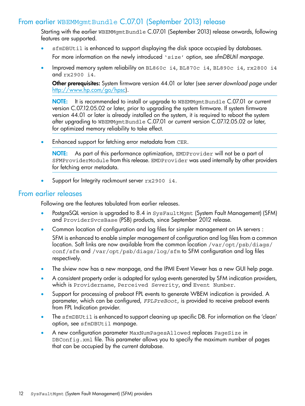## From earlier WBEMMgmtBundle C.07.01 (September 2013) release

<span id="page-11-0"></span>Starting with the earlier WBEMMgmtBundle C.07.01 (September 2013) release onwards, following features are supported.

- sfmDBUtil is enhanced to support displaying the disk space occupied by databases. For more information on the newly introduced 'size' option, see *sfmDBUtil manpage*.
- Improved memory system reliability on BL860c i4, BL870c i4, BL890c i4, rx2800 i4 and rx2900 i4.

Other prerequisites: System firmware version 44.01 or later (see *server download page* under [http://www.hp.com/go/hpsc\)](http://www.hp.com/go/hpsc).

NOTE: It is recommended to install or upgrade to WBEMMgmtBundle C.07.01 or current version C.07.12.05.02 or later, prior to upgrading the system firmware. If system firmware version 44.01 or later is already installed on the system, it is required to reboot the system after upgrading to WBEMMgmtBundle C.07.01 or current version C.07.12.05.02 or later, for optimized memory reliability to take effect.

Enhanced support for fetching error metadata from CER.

NOTE: As part of this performance optimization, EMDProvider will not be a part of SFMProviderModule from this release. EMDProvider was used internally by other providers for fetching error metadata.

<span id="page-11-1"></span>Support for Integrity rackmount server rx2900 i4.

#### From earlier releases

Following are the features tabulated from earlier releases.

- PostgreSQL version is upgraded to 8.4 in SysFaultMgmt (System Fault Management) (SFM) and ProviderSvcsBase (PSB) products, since September 2012 release.
- Common location of configuration and log files for simpler management on IA servers :

SFM is enhanced to enable simpler management of configuration and log files from a common location. Soft links are now available from the common location /var/opt/psb/diags/ conf/sfm and /var/opt/psb/diags/log/sfm to SFM configuration and log files respectively.

- The slview now has a new manpage, and the IPMI Event Viewer has a new GUI help page.
- A consistent property order is adapted for syslog events generated by SFM indication providers, which is Providername, Perceived Severity, and Event Number.
- Support for processing of preboot FPL events to generate WBEM indication is provided. A parameter, which can be configured, *FPLPreBoot*, is provided to receive preboot events from FPL Indication provider.
- The sfmDBUtil is enhanced to support cleaning up specific DB. For information on the 'clean' option, see sfmDBUtil manpage.
- A new configuration parameter MaxNumPagesAllowed replaces PageSize in DBConfig.xml file. This parameter allows you to specify the maximum number of pages that can be occupied by the current database.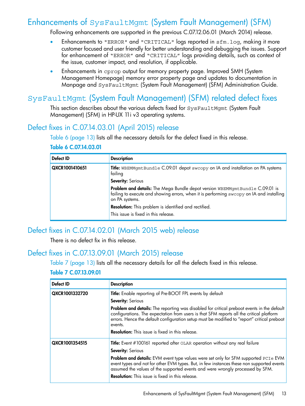# Enhancements of SysFaultMgmt (System Fault Management) (SFM)

<span id="page-12-0"></span>Following enhancements are supported in the previous C.07.12.06.01 (March 2014) release.

- Enhancements to "ERROR" and "CRITICAL" logs reported in sfm.log, making it more customer focused and user friendly for better understanding and debugging the issues. Support for enhancement of "ERROR" and "CRITICAL" logs providing details, such as context of the issue, customer impact, and resolution, if applicable.
- <span id="page-12-1"></span>• Enhancements in cprop output for memory property page. Improved SMH (System Management Homepage) memory error property page and updates to documentation in Manpage and SysFaultMgmt (System Fault Management) (SFM) Administration Guide.

## SysFaultMgmt (System Fault Management) (SFM) related defect fixes

<span id="page-12-2"></span>This section describes about the various defects fixed for SysFaultMgmt (System Fault Management) (SFM) in HP-UX 11i v3 operating systems.

## Defect fixes in C.07.14.03.01 (April 2015) release

<span id="page-12-5"></span>Table 6 [\(page](#page-12-5) 13) lists all the necessary details for the defect fixed in this release.

| Defect ID      | <b>Description</b>                                                                                                                                                                         |
|----------------|--------------------------------------------------------------------------------------------------------------------------------------------------------------------------------------------|
| QXCR1001410651 | Title: WBEMMgmtBundle C.09.01 depot swcopy on IA and installation on PA systems<br>failing                                                                                                 |
|                | <b>Severity: Serious</b>                                                                                                                                                                   |
|                | Problem and details: The Mega Bundle depot version WBEMMgmtBundle C.09.01 is<br>failing to execute and showing errors, when it is performing swcopy on IA and installing<br>on PA systems. |
|                | Resolution: This problem is identified and rectified.                                                                                                                                      |
|                | This issue is fixed in this release.                                                                                                                                                       |

#### Table 6 C.07.14.03.01

## <span id="page-12-3"></span>Defect fixes in C.07.14.02.01 (March 2015 web) release

<span id="page-12-6"></span><span id="page-12-4"></span>There is no defect fix in this release.

## Defect fixes in C.07.13.09.01 (March 2015) release

Table 7 [\(page](#page-12-6) 13) lists all the necessary details for all the defects fixed in this release.

#### Table 7 C.07.13.09.01

| Defect ID      | <b>Description</b>                                                                                                                                                                                                                                                                               |  |
|----------------|--------------------------------------------------------------------------------------------------------------------------------------------------------------------------------------------------------------------------------------------------------------------------------------------------|--|
| QXCR1001332720 | Title: Enable reporting of Pre-BOOT FPL events by default                                                                                                                                                                                                                                        |  |
|                | <b>Severity: Serious</b>                                                                                                                                                                                                                                                                         |  |
|                | Problem and details: The reporting was disabled for critical preboot events in the default<br>configurations. The expectation from users is that SFM reports all the critical platform<br>errors. Hence the default configuration setup must be modified to "report" critical preboot<br>events. |  |
|                | <b>Resolution:</b> This issue is fixed in this release.                                                                                                                                                                                                                                          |  |
| QXCR1001354515 | <b>Title:</b> Event #100161 reported after OLAR operation without any real failure                                                                                                                                                                                                               |  |
|                | <b>Severity: Serious</b>                                                                                                                                                                                                                                                                         |  |
|                | <b>Problem and details:</b> EVM event type values were set only for SFM supported PCIe EVM<br>event types and not for other EVM types. But, in few instances these non supported events<br>assumed the values of the supported events and were wrongly processed by SFM.                         |  |
|                | <b>Resolution:</b> This issue is fixed in this release.                                                                                                                                                                                                                                          |  |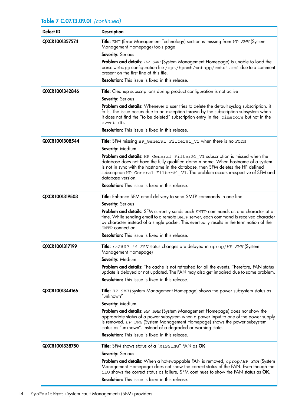#### Table 7 C.07.13.09.01 *(continued)*

| <b>Defect ID</b> | <b>Description</b>                                                                                                                                                                                                                                                                                                                                            |
|------------------|---------------------------------------------------------------------------------------------------------------------------------------------------------------------------------------------------------------------------------------------------------------------------------------------------------------------------------------------------------------|
| QXCR1001357574   | Title: EMT (Error Management Technology) section is missing from HP SMH (System<br>Management Homepage) tools page                                                                                                                                                                                                                                            |
|                  | Severity: Serious                                                                                                                                                                                                                                                                                                                                             |
|                  | Problem and details: HP SMH (System Management Homepage) is unable to load the<br>parse webapp configuration file /opt/hpsmh/webapp/emtui.xml due to a comment<br>present on the first line of this file.                                                                                                                                                     |
|                  | Resolution: This issue is fixed in this release.                                                                                                                                                                                                                                                                                                              |
| QXCR1001342846   | Title: Cleanup subscriptions during product configuration is not active<br>Severity: Serious                                                                                                                                                                                                                                                                  |
|                  | Problem and details: Whenever a user tries to delete the default syslog subscription, it<br>fails. The issue occurs due to an exception thrown by the subscription subsystem when<br>it does not find the "to be deleted" subscription entry in the cimstore but not in the<br>evweb db.                                                                      |
|                  | <b>Resolution:</b> This issue is fixed in this release.                                                                                                                                                                                                                                                                                                       |
| QXCR1001308544   | Title: SFM missing HP General Filter@1 V1 when there is no FQDN                                                                                                                                                                                                                                                                                               |
|                  | Severity: Medium                                                                                                                                                                                                                                                                                                                                              |
|                  | Problem and details: HP General Filter@1 V1 subscription is missed when the<br>database does not have the fully qualified domain name. When hostname of a system<br>is not in sync with the hostname in the database, then SFM deletes the HP defined<br>subscription HP General Filter@1 V1. The problem occurs irrespective of SFM and<br>database version. |
|                  | <b>Resolution:</b> This issue is fixed in this release.                                                                                                                                                                                                                                                                                                       |
| QXCR1001319503   | Title: Enhance SFM email delivery to send SMTP commands in one line                                                                                                                                                                                                                                                                                           |
|                  | <b>Severity: Serious</b>                                                                                                                                                                                                                                                                                                                                      |
|                  | Problem and details: SFM currently sends each SMTP commands as one character at a<br>time. While sending email to a remote SMTP server, each command is received character<br>by character instead of a single packet. This eventually results in the termination of the<br>SMTP connection.                                                                  |
|                  | <b>Resolution:</b> This issue is fixed in this release.                                                                                                                                                                                                                                                                                                       |
| QXCR1001317199   | Title: rx2800 i4 FAN status changes are delayed in cprop/HP SMH (System<br>Management Homepage)                                                                                                                                                                                                                                                               |
|                  | Severity: Medium                                                                                                                                                                                                                                                                                                                                              |
|                  | Problem and details: The cache is not refreshed for all the events. Therefore, FAN status<br>update is delayed or not updated. The FAN may also get impaired due to some problem.                                                                                                                                                                             |
|                  | <b>Resolution:</b> This issue is fixed in this release.                                                                                                                                                                                                                                                                                                       |
| QXCR1001344166   | Title: HP SMH (System Management Homepage) shows the power subsystem status as<br>"unknown"                                                                                                                                                                                                                                                                   |
|                  | Severity: Medium                                                                                                                                                                                                                                                                                                                                              |
|                  | <b>Problem and details:</b> HP SMH (System Management Homepage) does not show the<br>appropriate status of a power subsystem when a power input to one of the power supply<br>is removed. HP SMH (System Management Homepage) shows the power subsystem<br>status as "unknown", instead of a degraded or warning state.                                       |
|                  | Resolution: This issue is fixed in this release.                                                                                                                                                                                                                                                                                                              |
| QXCR1001338750   | Title: SFM shows status of a "MISSING" FAN as OK                                                                                                                                                                                                                                                                                                              |
|                  | Severity: Serious                                                                                                                                                                                                                                                                                                                                             |
|                  | <b>Problem and details:</b> When a hot-swappable FAN is removed, cprop/HP SMH (System<br>Management Homepage) does not show the correct status of the FAN. Even though the<br>iLO shows the correct status as failure, SFM continues to show the FAN status as OK.                                                                                            |
|                  | <b>Resolution:</b> This issue is fixed in this release.                                                                                                                                                                                                                                                                                                       |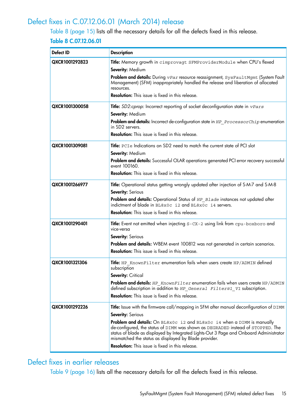## Defect fixes in C.07.12.06.01 (March 2014) release

<span id="page-14-2"></span><span id="page-14-0"></span>Table 8 [\(page](#page-14-2) 15) lists all the necessary details for all the defects fixed in this release. Table 8 C.07.12.06.01

| Defect ID      | <b>Description</b>                                                                                                                                                                                                                 |  |
|----------------|------------------------------------------------------------------------------------------------------------------------------------------------------------------------------------------------------------------------------------|--|
| QXCR1001292823 | Title: Memory growth in cimprovagt SFMProviderModule when CPU's flexed                                                                                                                                                             |  |
|                | Severity: Medium                                                                                                                                                                                                                   |  |
|                | Problem and details: During vPar resource reassignment, SysFaultMgmt (System Fault<br>Management) (SFM) inappropriately handled the release and liberation of allocated<br>resources.                                              |  |
|                | <b>Resolution:</b> This issue is fixed in this release.                                                                                                                                                                            |  |
| QXCR1001300058 | Title: SD2:cprop: Incorrect reporting of socket deconfiguration state in vPars                                                                                                                                                     |  |
|                | Severity: Medium                                                                                                                                                                                                                   |  |
|                | Problem and details: Incorrect de-configuration state in HP ProcessorChip enumeration<br>in SD <sub>2</sub> servers.                                                                                                               |  |
|                | <b>Resolution:</b> This issue is fixed in this release.                                                                                                                                                                            |  |
| QXCR1001309081 | Title: PCIe Indications on SD2 need to match the current state of PCI slot                                                                                                                                                         |  |
|                | Severity: Medium                                                                                                                                                                                                                   |  |
|                | Problem and details: Successful OLAR operations generated PCI error recovery successful<br>event 100160.                                                                                                                           |  |
|                | <b>Resolution:</b> This issue is fixed in this release.                                                                                                                                                                            |  |
| QXCR1001266977 | Title: Operational status getting wrongly updated after injection of S-M-7 and S-M-8                                                                                                                                               |  |
|                | Severity: Serious                                                                                                                                                                                                                  |  |
|                | <b>Problem and details:</b> Operational Status of HP Blade instances not updated after<br>indictment of blade in BL8x0c i2 and BL8x0c i4 servers.                                                                                  |  |
|                | <b>Resolution:</b> This issue is fixed in this release.                                                                                                                                                                            |  |
| QXCR1001290401 | Title: Event not emitted when injecting S-CX-2 using link from cpu-boxboro and<br>vice-versa                                                                                                                                       |  |
|                | Severity: Serious                                                                                                                                                                                                                  |  |
|                | Problem and details: WBEM event 100812 was not generated in certain scenarios.                                                                                                                                                     |  |
|                | <b>Resolution:</b> This issue is fixed in this release.                                                                                                                                                                            |  |
| QXCR1001321306 | Title: HP KnownFilter enumeration fails when users create HP/ADMIN defined<br>subscription                                                                                                                                         |  |
|                | <b>Severity: Critical</b>                                                                                                                                                                                                          |  |
|                | Problem and details: HP KnownFilter enumeration fails when users create HP/ADMIN<br>defined subscription in addition to HP General Filter@1 V1 subscription.                                                                       |  |
|                | <b>Resolution:</b> This issue is fixed in this release.                                                                                                                                                                            |  |
| QXCR1001292226 | Title: Issue with the firmware call/mapping in SFM after manual deconfiguration of DIMM                                                                                                                                            |  |
|                | <b>Severity: Serious</b>                                                                                                                                                                                                           |  |
|                | Problem and details: On BL8x0c i2 and BL8x0c i4 when a DIMM is manually                                                                                                                                                            |  |
|                | de-configured, the status of DIMM was shown as DEGRADED instead of STOPPED. The<br>status of blade as displayed by Integrated Lights-Out 3 Page and Onboard Administrator<br>mismatched the status as displayed by Blade provider. |  |
|                | <b>Resolution:</b> This issue is fixed in this release.                                                                                                                                                                            |  |

## <span id="page-14-1"></span>Defect fixes in earlier releases

Table 9 [\(page](#page-15-0) 16) lists all the necessary details for all the defects fixed in this release.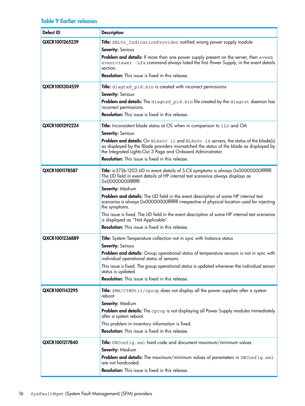#### <span id="page-15-0"></span>Table 9 Earlier releases

| <b>Defect ID</b> | <b>Description</b>                                                                                                                                                                                                                                                                                                                                                                                                                                                                                                                                                                                                           |
|------------------|------------------------------------------------------------------------------------------------------------------------------------------------------------------------------------------------------------------------------------------------------------------------------------------------------------------------------------------------------------------------------------------------------------------------------------------------------------------------------------------------------------------------------------------------------------------------------------------------------------------------------|
| QXCR1001265239   | Title: SEL02 IndicationProvider notified wrong power supply module<br>Severity: Serious<br>Problem and details: If more than one power supply present on the server, then evweb<br>eventviewer -Lfx command always listed the first Power Supply, in the event details<br>section.<br>Resolution: This issue is fixed in this release.                                                                                                                                                                                                                                                                                       |
| QXCR1001304559   | Title: diagtxd_pid.bin is created with incorrect permissions<br>Severity: Serious<br>Problem and details: The diagtxd pid.bin file created by the diagtxt daemon has<br>incorrect permissions.<br><b>Resolution:</b> This issue is fixed in this release.                                                                                                                                                                                                                                                                                                                                                                    |
| QXCR1001292224   | Title: Inconsistent blade status at OS when in comparison to iLO and OA<br>Severity: Serious<br><b>Problem and details:</b> On $BLSX0c$ i2 and $BLSX0c$ i4 servers, the status of the blade(s)<br>as displayed by the Blade providers mismatched the status of the blade as displayed by<br>the Integrated Lights-Out 3 Page and Onboard Administrator.<br><b>Resolution:</b> This issue is fixed in this release.                                                                                                                                                                                                           |
| QXCR1001178587   | Title: ic373b:1203:LID in event details of S-CX symptoms is always 0x00000000ffffffff.<br>The LID field in event details of HP internal test scenarios always displays as<br>0x0000000ffffffff<br>Severity: Medium<br>Problem and details: The LID field in the event description of some HP internal test<br>scenarios is always 0x00000000ffffffff irrespective of physical location used for injecting<br>the symptoms.<br>This issue is fixed. The LID field in the event description of some HP internal test scenarios<br>is displayed as "Not Applicable".<br><b>Resolution:</b> This issue is fixed in this release. |
| QXCR1001236889   | Title: System Temperature collection not in sync with Instance status<br><b>Severity: Serious</b><br>Problem and details: Group operational status of temperature sensors is not in sync with<br>individual operational status of sensors.<br>This issue is fixed. The group operational status is updated whenever the individual sensor<br>status is updated.<br>Resolution: This issue is fixed in this release.                                                                                                                                                                                                          |
| QXCR1001143295   | Title: SMH/CIMUtil/cprop does not display all the power supplies after a system<br>reboot<br>Severity: Medium<br><b>Problem and details:</b> The cprop is not displaying all Power Supply modules immediately<br>after a system reboot.<br>This problem in inventory information is fixed.<br><b>Resolution:</b> This issue is fixed in this release.                                                                                                                                                                                                                                                                        |
| QXCR1001217840   | Title: DBConfig.xml hard code and document maximum/minimum values<br>Severity: Medium<br>Problem and details: The maximum/minimum values of parameters in DBConfig.xml<br>are not hardcoded.<br>Resolution: This issue is fixed in this release.                                                                                                                                                                                                                                                                                                                                                                             |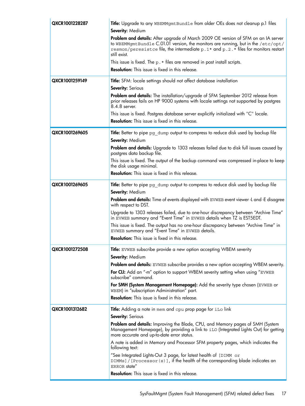| QXCR1001228287 | Title: Upgrade to any WBEMMgmtBundle from older OEs does not cleanup p.1 files                                                                                                                                                                                         |  |  |
|----------------|------------------------------------------------------------------------------------------------------------------------------------------------------------------------------------------------------------------------------------------------------------------------|--|--|
|                | <b>Severity: Medium</b>                                                                                                                                                                                                                                                |  |  |
|                | <b>Problem and details:</b> After upgrade of March 2009 OE version of SFM on an IA server<br>to WBEMMgmtBundle C.01.01 version, the monitors are running, but in the /etc/opt/<br>resmon/peresistce file, the intermediate p. 1* and p. 2.* files for monitors restart |  |  |
|                | still exist.                                                                                                                                                                                                                                                           |  |  |
|                | This issue is fixed. The $p.*$ files are removed in post install scripts.<br><b>Resolution:</b> This issue is fixed in this release.                                                                                                                                   |  |  |
|                |                                                                                                                                                                                                                                                                        |  |  |
| QXCR1001259149 | Title: SFM: locale settings should not affect database installation                                                                                                                                                                                                    |  |  |
|                | Severity: Serious                                                                                                                                                                                                                                                      |  |  |
|                | <b>Problem and details:</b> The installation/upgrade of SFM September 2012 release from<br>prior releases fails on HP 9000 systems with locale settings not supported by postgres<br>8.4.8 server.                                                                     |  |  |
|                | This issue is fixed. Postgres database server explicitly initialized with "C" locale.                                                                                                                                                                                  |  |  |
|                | <b>Resolution:</b> This issue is fixed in this release.                                                                                                                                                                                                                |  |  |
| QXCR1001269605 | <b>Title:</b> Better to pipe pg_dump output to compress to reduce disk used by backup file<br><b>Severity: Medium</b>                                                                                                                                                  |  |  |
|                | <b>Problem and details:</b> Upgrade to 1303 releases failed due to disk full issues caused by<br>postgres data backup file.                                                                                                                                            |  |  |
|                | This issue is fixed. The output of the backup command was compressed in-place to keep<br>the disk usage minimal.                                                                                                                                                       |  |  |
|                | <b>Resolution:</b> This issue is fixed in this release.                                                                                                                                                                                                                |  |  |
| QXCR1001269605 | <b>Title:</b> Better to pipe pg_dump output to compress to reduce disk used by backup file                                                                                                                                                                             |  |  |
|                | Severity: Medium                                                                                                                                                                                                                                                       |  |  |
|                | <b>Problem and details:</b> Time of events displayed with EVWEB event viewer -L and -E disagree<br>with respect to DST.                                                                                                                                                |  |  |
|                | Upgrade to 1303 releases failed, due to one-hour discrepancy between "Archive Time"<br>in EVWEB summary and "Event Time" in EVWEB details when TZ is EST5EDT.                                                                                                          |  |  |
|                | This issue is fixed. The output has no one-hour discrepancy between "Archive Time" in<br>EVWEB summary and "Event Time" in EVWEB details.                                                                                                                              |  |  |
|                | <b>Resolution:</b> This issue is fixed in this release.                                                                                                                                                                                                                |  |  |
| QXCR1001272508 | Title: EVWEB subscribe provide a new option accepting WBEM severity                                                                                                                                                                                                    |  |  |
|                | <b>Severity: Medium</b>                                                                                                                                                                                                                                                |  |  |
|                | Problem and details: EVWEB subscribe provides a new option accepting WBEM severity.                                                                                                                                                                                    |  |  |
|                | <b>For CLI:</b> Add an "-m" option to support WBEM severity setting when using "EVWEB<br>subscribe" command.                                                                                                                                                           |  |  |
|                | For SMH (System Management Homepage): Add the severity type chosen (EVWEB or<br>WBEM) in "subscription Administration" part.                                                                                                                                           |  |  |
|                | <b>Resolution:</b> This issue is fixed in this release.                                                                                                                                                                                                                |  |  |
| QXCR1001312682 | Title: Adding a note in mem and cpu prop page for iLo link                                                                                                                                                                                                             |  |  |
|                | <b>Severity: Serious</b>                                                                                                                                                                                                                                               |  |  |
|                | Problem and details: Improving the Blade, CPU, and Memory pages of SMH (System<br>Management Homepage), by providing a link to iLO (Integrated Lights Out) for getting<br>more accurate and up-to-date error status.                                                   |  |  |
|                | A note is added in Memory and Processor SFM property pages, which indicates the<br>following text:                                                                                                                                                                     |  |  |
|                | "See Integrated Lights-Out 3 page, for latest health of [DIMM or<br>DIMMs] / [Processor (s)], if the health of the corresponding blade indicates an<br>ERROR state"                                                                                                    |  |  |
|                | <b>Resolution:</b> This issue is fixed in this release.                                                                                                                                                                                                                |  |  |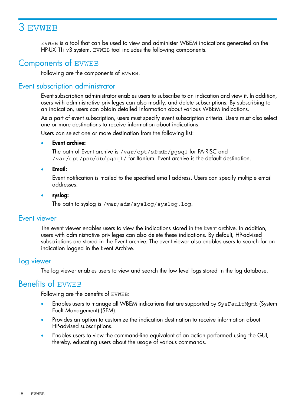# <span id="page-17-0"></span>3 EVWEB

<span id="page-17-1"></span>EVWEB is a tool that can be used to view and administer WBEM indications generated on the HP-UX 11i v3 system. EVWEB tool includes the following components.

# Components of EVWEB

<span id="page-17-2"></span>Following are the components of EVWEB.

### Event subscription administrator

Event subscription administrator enables users to subscribe to an indication and view it. In addition, users with administrative privileges can also modify, and delete subscriptions. By subscribing to an indication, users can obtain detailed information about various WBEM indications.

As a part of event subscription, users must specify event subscription criteria. Users must also select one or more destinations to receive information about indications.

Users can select one or more destination from the following list:

#### **Event archive:**

The path of Event archive is /var/opt/sfmdb/pgsql for PA-RISC and /var/opt/psb/db/pgsql/ for Itanium. Event archive is the default destination.

• Email:

Event notification is mailed to the specified email address. Users can specify multiple email addresses.

#### <span id="page-17-3"></span>• syslog:

The path to syslog is /var/adm/syslog/syslog.log.

#### Event viewer

<span id="page-17-4"></span>The event viewer enables users to view the indications stored in the Event archive. In addition, users with administrative privileges can also delete these indications. By default, HP-advised subscriptions are stored in the Event archive. The event viewer also enables users to search for an indication logged in the Event Archive.

#### Log viewer

<span id="page-17-5"></span>The log viewer enables users to view and search the low level logs stored in the log database.

## Benefits of EVWEB

Following are the benefits of EVWEB:

- Enables users to manage all WBEM indications that are supported by SysFaultMgmt (System Fault Management) (SFM).
- Provides an option to customize the indication destination to receive information about HP-advised subscriptions.
- Enables users to view the command-line equivalent of an action performed using the GUI, thereby, educating users about the usage of various commands.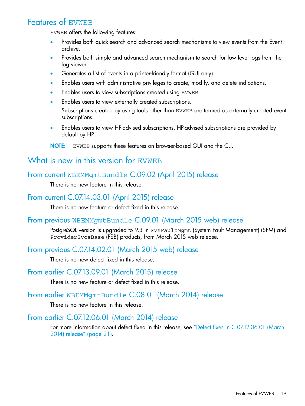## Features of EVWEB

<span id="page-18-0"></span>EVWEB offers the following features:

- Provides both quick search and advanced search mechanisms to view events from the Event archive.
- Provides both simple and advanced search mechanism to search for low level logs from the log viewer.
- Generates a list of events in a printer-friendly format (GUI only).
- Enables users with administrative privileges to create, modify, and delete indications.
- Enables users to view subscriptions created using EVWEB
- Enables users to view externally created subscriptions.

Subscriptions created by using tools other than EVWEB are termed as externally created event subscriptions.

• Enables users to view HP-advised subscriptions. HP-advised subscriptions are provided by default by HP.

<span id="page-18-2"></span><span id="page-18-1"></span>NOTE: EVWEB supports these features on browser-based GUI and the CLI.

## What is new in this version for EVWEB

## From current WBEMMgmtBundle C.09.02 (April 2015) release

<span id="page-18-4"></span><span id="page-18-3"></span>There is no new feature in this release.

## From current C.07.14.03.01 (April 2015) release

There is no new feature or defect fixed in this release.

## From previous WBEMMgmtBundle C.09.01 (March 2015 web) release

<span id="page-18-6"></span><span id="page-18-5"></span>PostgreSQL version is upgraded to 9.3 in SysFaultMgmt (System Fault Management) (SFM) and ProviderSvcsBase (PSB) products, from March 2015 web release.

## From previous C.07.14.02.01 (March 2015 web) release

<span id="page-18-7"></span>There is no new defect fixed in this release.

## From earlier C.07.13.09.01 (March 2015) release

<span id="page-18-8"></span>There is no new feature or defect fixed in this release.

## From earlier WBEMMgmtBundle C.08.01 (March 2014) release

There is no new feature in this release.

## From earlier C.07.12.06.01 (March 2014) release

For more information about defect fixed in this release, see "Defect fixes in [C.07.12.06.01](#page-20-0) (March 2014) [release"](#page-20-0) (page 21).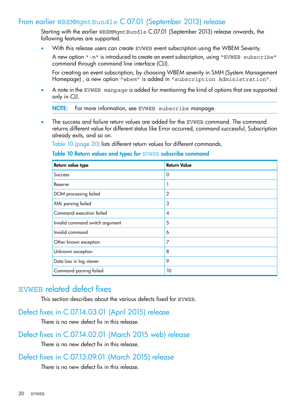## From earlier WBEMMgmtBundle C.07.01 (September 2013) release

<span id="page-19-0"></span>Starting with the earlier WBEMMgmtBundle C.07.01 (September 2013) release onwards, the following features are supported.

• With this release users can create EVWEB event subscription using the WBEM Severity.

A new option "-m" is introduced to create an event subscription, using "EVWEB subscribe" command through command line interface (CLI).

For creating an event subscription, by choosing WBEM severity in SMH (System Management Homepage) , a new option "wbem" is added in "subscription Administration".

• A note in the EVWEB manpage is added for mentioning the kind of options that are supported only in CLI.

NOTE: For more information, see EVWEB subscribe manpage.

• The success and failure return values are added for the EVWEB command. The command returns different value for different status like Error occurred, command successful, Subscription already exits, and so on.

<span id="page-19-5"></span>Table 10 [\(page](#page-19-5) 20) lists different return values for different commands.

#### Table 10 Return values and types for EVWEB subscribe command

| Return value type               | <b>Return Value</b> |
|---------------------------------|---------------------|
| <b>Success</b>                  | 0                   |
| Reserve                         | 1                   |
| DOM processing failed           | $\overline{2}$      |
| XML parsing failed              | 3                   |
| Command execution failed        | $\overline{4}$      |
| Invalid command switch argument | 5                   |
| Invalid command                 | 6                   |
| Other known exception           | 7                   |
| Unknown exception               | 8                   |
| Data loss in log viewer         | 9                   |
| Command parsing failed          | 10                  |

## <span id="page-19-2"></span><span id="page-19-1"></span>EVWEB related defect fixes

<span id="page-19-3"></span>This section describes about the various defects fixed for EVWEB.

### Defect fixes in C.07.14.03.01 (April 2015) release

<span id="page-19-4"></span>There is no new defect fix in this release.

### Defect fixes in C.07.14.02.01 (March 2015 web) release

There is no new defect fix in this release.

### Defect fixes in C.07.13.09.01 (March 2015) release

There is no new defect fix in this release.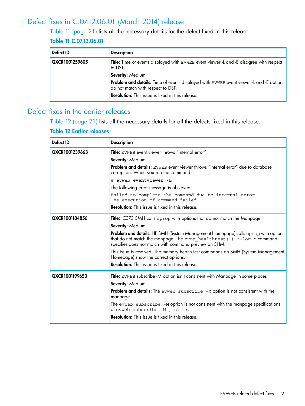## Defect fixes in C.07.12.06.01 (March 2014) release

<span id="page-20-0"></span>Table 11 [\(page](#page-20-2) 21) lists all the necessary details for the defect fixed in this release.

### <span id="page-20-2"></span>Table 11 C.07.12.06.01

| Defect ID      | <b>Description</b>                                                                                                           |
|----------------|------------------------------------------------------------------------------------------------------------------------------|
| QXCR1001259605 | Title: Time of events displayed with EVWEB event viewer -L and -E disagree with respect<br>to DST                            |
|                | Severity: Medium                                                                                                             |
|                | Problem and details: Time of events displayed with EVWEB event viewer -L and -E options<br>do not match with respect to DST. |
|                | <b>Resolution:</b> This issue is fixed in this release.                                                                      |

## <span id="page-20-1"></span>Defect fixes in the earlier releases

<span id="page-20-3"></span>Table 12 [\(page](#page-20-3) 21) lists all the necessary details for all the defects fixed in this release.

#### Table 12 Earlier releases

| Defect ID      | <b>Description</b>                                                                                                                                                                                                          |  |  |  |  |
|----------------|-----------------------------------------------------------------------------------------------------------------------------------------------------------------------------------------------------------------------------|--|--|--|--|
| QXCR1001239663 | <b>Title:</b> EVWEB event viewer throws "internal error"                                                                                                                                                                    |  |  |  |  |
|                | Severity: Medium                                                                                                                                                                                                            |  |  |  |  |
|                | <b>Problem and details:</b> EVWEB event viewer throws "internal error" due to database<br>corruption. When you run the command:                                                                                             |  |  |  |  |
|                | # evweb eventviewer -L                                                                                                                                                                                                      |  |  |  |  |
|                | The following error message is observed:                                                                                                                                                                                    |  |  |  |  |
|                | Failed to complete the command due to internal error<br>The execution of command failed.                                                                                                                                    |  |  |  |  |
|                | <b>Resolution:</b> This issue is fixed in this release.                                                                                                                                                                     |  |  |  |  |
| QXCR1001184856 | <b>Title:</b> IC373 SMH calls cprop with options that do not match the Manpage                                                                                                                                              |  |  |  |  |
|                | Severity: Medium                                                                                                                                                                                                            |  |  |  |  |
|                | <b>Problem and details:</b> HP SMH (System Management Homepage) calls cprop with options<br>that do not match the manpage. The crop_healthtest (1) "-log " command<br>specifies does not match with command preview on SHM. |  |  |  |  |
|                | This issue is resolved. The memory health test commands on SMH (System Management<br>Homepage) show the correct options.                                                                                                    |  |  |  |  |
|                | <b>Resolution:</b> This issue is fixed in this release.                                                                                                                                                                     |  |  |  |  |
| QXCR1001199653 | <b>Title:</b> EVWEB subscribe -M option isn't consistent with Manpage in some places                                                                                                                                        |  |  |  |  |
|                | Severity: Medium                                                                                                                                                                                                            |  |  |  |  |
|                | Problem and details: The evweb subscribe -M option is not consistent with the<br>manpage.                                                                                                                                   |  |  |  |  |
|                | The evweb subscribe -M option is not consistent with the manpage specifications<br>of evweb subscribe $-M$ , $-s$ , $-r$ .                                                                                                  |  |  |  |  |
|                | <b>Resolution:</b> This issue is fixed in this release.                                                                                                                                                                     |  |  |  |  |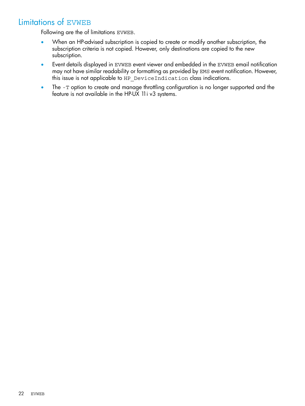## Limitations of EVWEB

<span id="page-21-0"></span>Following are the of limitations EVWEB.

- When an HP-advised subscription is copied to create or modify another subscription, the subscription criteria is not copied. However, only destinations are copied to the new subscription.
- Event details displayed in EVWEB event viewer and embedded in the EVWEB email notification may not have similar readability or formatting as provided by EMS event notification. However, this issue is not applicable to HP\_DeviceIndication class indications.
- The -T option to create and manage throttling configuration is no longer supported and the feature is not available in the HP-UX 11i v3 systems.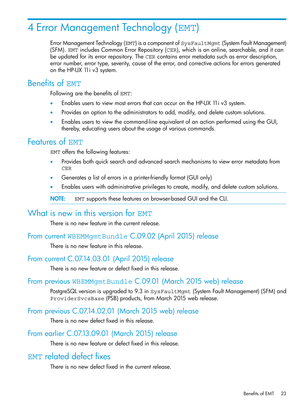# <span id="page-22-0"></span>4 Error Management Technology (EMT)

Error Management Technology (EMT) is a component of SysFaultMgmt (System Fault Management) (SFM). EMT includes Common Error Repository (CER), which is an online, searchable, and it can be updated for its error repository. The CER contains error metadata such as error description, error number, error type, severity, cause of the error, and corrective actions for errors generated on the HP-UX 11i v3 system.

## <span id="page-22-1"></span>Benefits of EMT

Following are the benefits of EMT:

- Enables users to view most errors that can occur on the HP-UX 11i v3 system.
- Provides an option to the administrators to add, modify, and delete custom solutions.
- <span id="page-22-2"></span>• Enables users to view the command-line equivalent of an action performed using the GUI, thereby, educating users about the usage of various commands.

## Features of EMT

EMT offers the following features:

- Provides both quick search and advanced search mechanisms to view error metadata from CER
- Generates a list of errors in a printer-friendly format (GUI only)
- <span id="page-22-3"></span>• Enables users with administrative privileges to create, modify, and delete custom solutions.

<span id="page-22-4"></span>NOTE: EMT supports these features on browser-based GUI and the CLI.

## What is new in this version for EMT

<span id="page-22-5"></span>There is no new feature in the current release.

### From current WBEMMgmtBundle C.09.02 (April 2015) release

<span id="page-22-6"></span>There is no new feature in this release.

## From current C.07.14.03.01 (April 2015) release

<span id="page-22-7"></span>There is no new feature or defect fixed in this release.

### From previous WBEMMgmtBundle C.09.01 (March 2015 web) release

<span id="page-22-8"></span>PostgreSQL version is upgraded to 9.3 in SysFaultMgmt (System Fault Management) (SFM) and ProviderSvcsBase (PSB) products, from March 2015 web release.

### From previous C.07.14.02.01 (March 2015 web) release

<span id="page-22-9"></span>There is no new defect fixed in this release.

## From earlier C.07.13.09.01 (March 2015) release

There is no new feature or defect fixed in this release.

## EMT related defect fixes

There is no new defect fixed in the current release.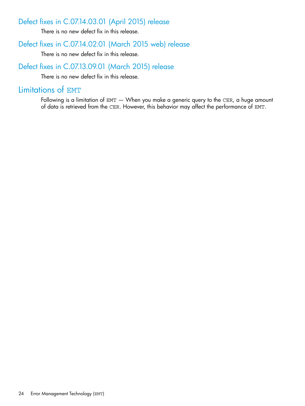## Defect fixes in C.07.14.03.01 (April 2015) release

<span id="page-23-1"></span><span id="page-23-0"></span>There is no new defect fix in this release.

## Defect fixes in C.07.14.02.01 (March 2015 web) release

<span id="page-23-2"></span>There is no new defect fix in this release.

## Defect fixes in C.07.13.09.01 (March 2015) release

<span id="page-23-3"></span>There is no new defect fix in this release.

## Limitations of EMT

Following is a limitation of EMT  $-$  When you make a generic query to the CER, a huge amount of data is retrieved from the CER. However, this behavior may affect the performance of EMT.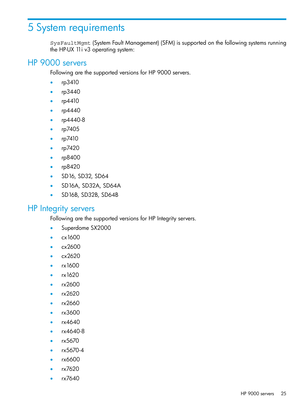# <span id="page-24-0"></span>5 System requirements

<span id="page-24-1"></span>SysFaultMgmt (System Fault Management) (SFM) is supported on the following systems running the HP-UX 11i v3 operating system:

## HP 9000 servers

Following are the supported versions for HP 9000 servers.

- rp3410
- rp3440
- rp4410
- rp4440
- rp4440-8
- rp7405
- rp7410
- rp7420
- rp8400
- rp8420
- SD16, SD32, SD64
- <span id="page-24-2"></span>• SD16A, SD32A, SD64A
- SD16B, SD32B, SD64B

### HP Integrity servers

Following are the supported versions for HP Integrity servers.

- Superdome SX2000
- cx1600
- cx2600
- cx2620
- rx1600
- rx1620
- rx2600
- rx2620
- rx2660
- rx3600
- rx4640
- rx4640-8
- rx5670
- rx5670-4
- rx6600
- rx7620
- rx7640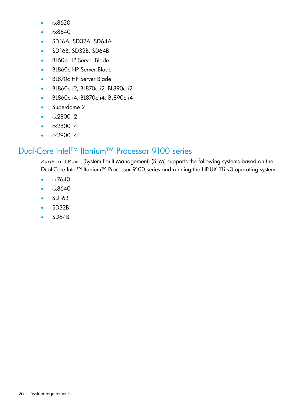- rx8620
- rx8640
- SD16A, SD32A, SD64A
- SD16B, SD32B, SD64B
- BL60p HP Server Blade
- BL860c HP Server Blade
- BL870c HP Server Blade
- BL860c i2, BL870c i2, BL890c i2
- BL860c i4, BL870c i4, BL890c i4
- Superdome 2
- rx2800 i2
- <span id="page-25-0"></span>• rx2800 i4
- rx2900 i4

# Dual-Core Intel™ Itanium™ Processor 9100 series

SysFaultMgmt (System Fault Management) (SFM) supports the following systems based on the Dual-Core Intel™ Itanium™ Processor 9100 series and running the HP-UX 11i v3 operating system:

- rx7640
- rx8640
- SD16B
- SD32B
- SD64B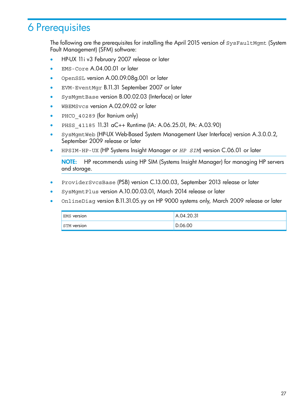# <span id="page-26-0"></span>6 Prerequisites

The following are the prerequisites for installing the April 2015 version of SysFaultMgmt (System Fault Management) (SFM) software:

- HP-UX 11i v3 February 2007 release or later
- EMS-Core A.04.00.01 or later
- OpenSSL version A.00.09.08g.001 or later
- EVM-EventMgr B.11.31 September 2007 or later
- SysMgmtBase version B.00.02.03 (Interface) or later
- WBEMSvcs version A.02.09.02 or later
- PHCO 40289 (for Itanium only)
- PHSS 41185 11.31 aC++ Runtime (IA: A.06.25.01, PA: A.03.90)
- SysMgmtWeb (HP-UX Web-Based System Management User Interface) version A.3.0.0.2, September 2009 release or later
- HPSIM-HP-UX (HP Systems Insight Manager or *HP SIM*) version C.06.01 or later

NOTE: HP recommends using HP SIM (Systems Insight Manager) for managing HP servers and storage.

- ProviderSvcsBase (PSB) version C.13.00.03, September 2013 release or later
- SysMgmtPlus version A.10.00.03.01, March 2014 release or later
- OnlineDiag version B.11.31.05.yy on HP 9000 systems only, March 2009 release or later

| <b>EMS</b> version | A.04.20.31 |
|--------------------|------------|
| <b>STM</b> version | D.06.00    |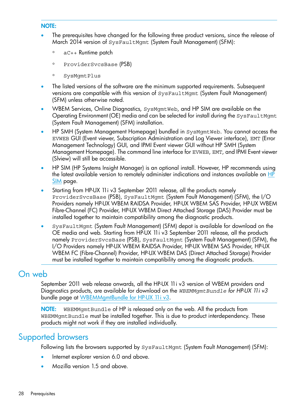#### NOTE:

- The prerequisites have changed for the following three product versions, since the release of March 2014 version of SysFaultMgmt (System Fault Management) (SFM):
	- aC++ Runtime patch
	- ProviderSvcsBase (PSB)
	- SysMgmtPlus
- The listed versions of the software are the minimum supported requirements. Subsequent versions are compatible with this version of SysFaultMgmt (System Fault Management) (SFM) unless otherwise noted.
- WBEM Services, Online Diagnostics, SysMgmtWeb, and HP SIM are available on the Operating Environment (OE) media and can be selected for install during the SysFaultMgmt (System Fault Management) (SFM) installation.
- HP SMH (System Management Homepage) bundled in SysMgmtWeb. You cannot access the EVWEB GUI (Event viewer, Subscription Administration and Log Viewer interface), EMT (Error Management Technology) GUI, and IPMI Event viewer GUI without HP SMH (System Management Homepage). The command line interface for EVWEB, EMT, and IPMI Event viewer (Slview) will still be accessible.
- HP SIM (HP Systems Insight Manager) is an optional install. However, HP recommends using the latest available version to remotely administer indications and instances available on  $HP$ [SIM](http://h18013.www1.hp.com/products/servers/management/hpsim/dl_hpux.html) page.
- Starting from HP-UX 11i v3 September 2011 release, all the products namely ProviderSvcsBase (PSB), SysFaultMgmt (System Fault Management) (SFM), the I/O Providers namely HP-UX WBEM RAIDSA Provider, HP-UX WBEM SAS Provider, HP-UX WBEM Fibre-Channel (FC) Provider, HP-UX WBEM Direct Attached Storage (DAS) Provider must be installed together to maintain compatibility among the diagnostic products.
- <span id="page-27-0"></span>• SysFaultMgmt (System Fault Management) (SFM) depot is available for download on the OE media and web. Starting from HP-UX 11i v3 September 2011 release, all the products namely ProviderSvcsBase (PSB), SysFaultMgmt (System Fault Management) (SFM), the I/O Providers namely HP-UX WBEM RAIDSA Provider, HP-UX WBEM SAS Provider, HP-UX WBEM FC (Fibre-Channel) Provider, HP-UX WBEM DAS (Direct Attached Storage) Provider must be installed together to maintain compatibility among the diagnostic products.

## On web

September 2011 web release onwards, all the HP-UX 11i v3 version of WBEM providers and Diagnostics products, are available for download on the *WBEMMgmtBundle for HP-UX 11i v3* bundle page at [WBEMMgmtBundle](https://h20392.www2.hp.com/portal/swdepot/displayProductInfo.do?productNumber=WBEMMgmtBundle) for HP-UX 11i v3.

<span id="page-27-1"></span>NOTE: WBEMMgmtBundle of HP is released only on the web. All the products from WBEMMgmtBundle must be installed together. This is due to product interdependency. These products might not work if they are installed individually.

## Supported browsers

Following lists the browsers supported by SysFaultMgmt (System Fault Management) (SFM):

- Internet explorer version 6.0 and above.
- Mozilla version 1.5 and above.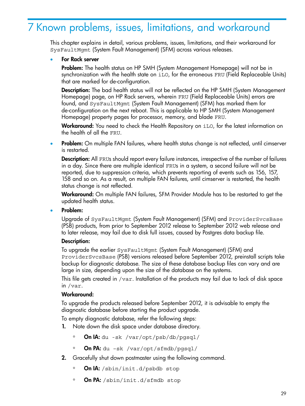# <span id="page-28-0"></span>7 Known problems, issues, limitations, and workaround

This chapter explains in detail, various problems, issues, limitations, and their workaround for SysFaultMgmt (System Fault Management) (SFM) across various releases.

#### • For Rack server

Problem: The health status on HP SMH (System Management Homepage) will not be in synchronization with the health state on iLO, for the erroneous FRU (Field Replaceable Units) that are marked for de-configuration.

**Description:** The bad health status will not be reflected on the HP SMH (System Management Homepage) page, on HP Rack servers, wherein FRU (Field Replaceable Units) errors are found, and SysFaultMgmt (System Fault Management) (SFM) has marked them for de-configuration on the next reboot. This is applicable to HP SMH (System Management Homepage) property pages for processor, memory, and blade FRU.

Workaround: You need to check the Health Repository on iLO, for the latest information on the health of all the FRU.

**Problem:** On multiple FAN failures, where health status change is not reflected, until cimserver is restarted.

**Description:** All FRUs should report every failure instances, irrespective of the number of failures in a day. Since there are multiple identical FRUs in a system, a second failure will not be reported, due to suppression criteria, which prevents reporting of events such as 156, 157, 158 and so on. As a result, on multiple FAN failures, until cimserver is restarted, the health status change is not reflected.

Workaround: On multiple FAN failures, SFM Provider Module has to be restarted to get the updated health status.

#### • Problem:

Upgrade of SysFaultMgmt (System Fault Management) (SFM) and ProviderSvcsBase (PSB) products, from prior to September 2012 release to September 2012 web release and to later release, may fail due to disk full issues, caused by Postgres data backup file.

#### Description:

To upgrade the earlier SysFaultMgmt (System Fault Management) (SFM) and ProviderSvcsBase (PSB) versions released before September 2012, preinstall scripts take backup for diagnostic database. The size of these database backup files can vary and are large in size, depending upon the size of the database on the systems.

This file gets created in /var. Installation of the products may fail due to lack of disk space in /var.

#### Workaround:

To upgrade the products released before September 2012, it is advisable to empty the diagnostic database before starting the product upgrade.

To empty diagnostic database, refer the following steps:

- 1. Note down the disk space under database directory.
	- On IA: du -sk /var/opt/psb/db/pgsql/
	- On PA: du –sk /var/opt/sfmdb/pgsql/
- 2. Gracefully shut down postmaster using the following command.
	- On IA: /sbin/init.d/psbdb stop
	- On PA: /sbin/init.d/sfmdb stop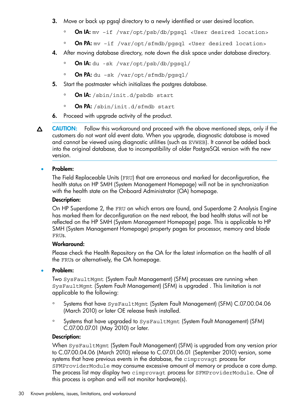- 3. Move or back up pgsql directory to a newly identified or user desired location.
	- On IA: mv –if /var/opt/psb/db/pgsql <User desired location>
	- On PA: mv –if /var/opt/sfmdb/pgsql <User desired location>
- 4. After moving database directory, note down the disk space under database directory.
	- On IA: du -sk /var/opt/psb/db/pgsql/
	- On PA: du –sk /var/opt/sfmdb/pgsql/
- 5. Start the postmaster which initializes the postgres database.
	- On IA: /sbin/init.d/psbdb start
	- On PA: /sbin/init.d/sfmdb start
- 6. Proceed with upgrade activity of the product.
- CAUTION: Follow this workaround and proceed with the above mentioned steps, only if the Δ customers do not want old event data. When you upgrade, diagnostic database is moved and cannot be viewed using diagnostic utilities (such as EVWEB). It cannot be added back into the original database, due to incompatibility of older PostgreSQL version with the new version.

#### • Problem:

The Field Replaceable Units (FRU) that are erroneous and marked for deconfiguration, the health status on HP SMH (System Management Homepage) will not be in synchronization with the health state on the Onboard Administrator (OA) homepage.

#### Description:

On HP Superdome 2, the FRU on which errors are found, and Superdome 2 Analysis Engine has marked them for deconfiguration on the next reboot, the bad health status will not be reflected on the HP SMH (System Management Homepage) page. This is applicable to HP SMH (System Management Homepage) property pages for processor, memory and blade FRUs.

#### Workaround:

Please check the Health Repository on the OA for the latest information on the health of all the FRUs or alternatively, the OA homepage.

#### Problem:

Two SysFaultMgmt (System Fault Management) (SFM) processes are running when SysFaultMgmt (System Fault Management) (SFM) is upgraded . This limitation is not applicable to the following:

- Systems that have SysFaultMgmt (System Fault Management) (SFM) C.07.00.04.06 (March 2010) or later OE release fresh installed.
- Systems that have upgraded to SysFaultMgmt (System Fault Management) (SFM) C.07.00.07.01 (May 2010) or later.

#### Description:

When SysFaultMgmt (System Fault Management) (SFM) is upgraded from any version prior to C.07.00.04.06 (March 2010) release to C.07.01.06.01 (September 2010) version, some systems that have previous events in the database, the cimprovagt process for SFMProviderModule may consume excessive amount of memory or produce a core dump. The process list may display two cimprovagt process for SFMProviderModule. One of this process is orphan and will not monitor hardware(s).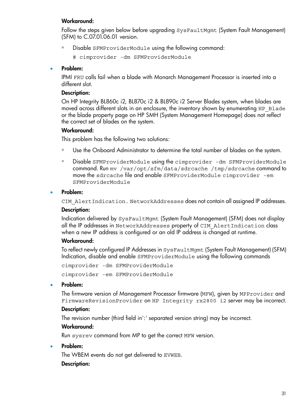#### Workaround:

Follow the steps given below before upgrading SysFaultMgmt (System Fault Management) (SFM) to C.07.01.06.01 version.

◦ Disable SFMProviderModule using the following command:

# cimprovider -dm SFMProviderModule

#### • Problem:

IPMI FRU calls fail when a blade with Monarch Management Processor is inserted into a different slot.

#### Description:

On HP Integrity BL860c i2, BL870c i2 & BL890c i2 Server Blades system, when blades are moved across different slots in an enclosure, the inventory shown by enumerating HP\_Blade or the blade property page on HP SMH (System Management Homepage) does not reflect the correct set of blades on the system.

#### Workaround:

This problem has the following two solutions:

- Use the Onboard Administrator to determine the total number of blades on the system.
- Disable SFMProviderModule using the cimprovider -dm SFMProviderModule command. Run mv /var/opt/sfm/data/sdrcache /tmp/sdrcache command to move the sdrcache file and enable SFMProviderModule cimprovider -em SFMProviderModule

#### Problem:

CIM\_AlertIndication. NetworkAddresses does not contain all assigned IP addresses.

#### Description:

Indication delivered by SysFaultMgmt (System Fault Management) (SFM) does not display all the IP addresses in NetworkAddresses property of CIM\_AlertIndication class when a new IP address is configured or an old IP address is changed at runtime.

#### Workaround:

To reflect newly configured IP Addresses in SysFaultMgmt (System Fault Management) (SFM) Indication, disable and enable SFMProviderModule using the following commands

cimprovider -dm SFMProviderModule

cimprovider -em SFMProviderModule

#### Problem:

The firmware version of Management Processor firmware (MFW), given by MPProvider and FirmwareRevisionProvider on HP Integrity rx2800 i2 server may be incorrect.

#### Description:

The revision number (third field in':' separated version string) may be incorrect.

#### Workaround:

Run sysrev command from MP to get the correct MFW version.

#### • Problem:

The WBEM events do not get delivered to EVWEB.

#### Description: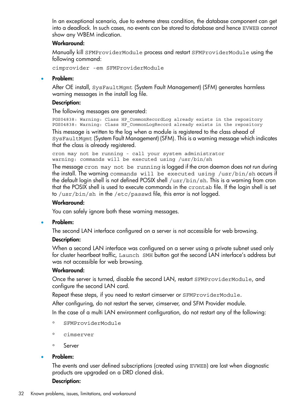In an exceptional scenario, due to extreme stress condition, the database component can get into a deadlock. In such cases, no events can be stored to database and hence EVWEB cannot show any WBEM indication.

#### Workaround:

Manually kill SFMProviderModule process and restart SFMProviderModule using the following command:

cimprovider -em SFMProviderModule

#### • Problem:

After OE install, SysFaultMgmt (System Fault Management) (SFM) generates harmless warning messages in the install log file.

#### Description:

The following messages are generated:

PGS04838: Warning: Class HP\_CommonRecordLog already exists in the repository PGS04838: Warning: Class HP\_CommonLogRecord already exists in the repository This message is written to the log when a module is registered to the class ahead of

SysFaultMgmt (System Fault Management) (SFM). This is a warning message which indicates that the class is already registered.

cron may not be running - call your system administrator warning: commands will be executed using /usr/bin/sh

The message cron may not be running is logged if the cron daemon does not run during the install. The warning commands will be executed using /usr/bin/sh occurs if the default login shell is not defined POSIX shell /usr/bin/sh. This is a warning from cron that the POSIX shell is used to execute commands in the crontab file. If the login shell is set to /usr/bin/sh in the /etc/passwd file, this error is not logged.

#### Workaround:

You can safely ignore both these warning messages.

#### • Problem:

The second LAN interface configured on a server is not accessible for web browsing.

#### Description:

When a second LAN interface was configured on a server using a private subnet used only for cluster heartbeat traffic, Launch SMH button got the second LAN interface's address but was not accessible for web browsing.

#### Workaround:

Once the server is turned, disable the second LAN, restart SFMProviderModule, and configure the second LAN card.

Repeat these steps, if you need to restart cimserver or SFMProviderModule.

After configuring, do not restart the server, cimserver, and SFM Provider module.

In the case of a multi LAN environment configuration, do not restart any of the following:

- SFMProviderModule
- cimserver
- Server

#### • Problem:

The events and user defined subscriptions (created using EVWEB) are lost when diagnostic products are upgraded on a DRD cloned disk.

#### Description: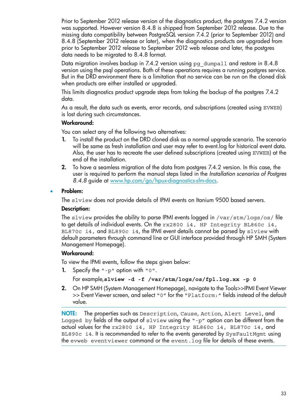Prior to September 2012 release version of the diagnostics product, the postgres 7.4.2 version was supported. However version 8.4.8 is shipped from September 2012 release. Due to the missing data compatibility between PostgreSQL version 7.4.2 (prior to September 2012) and 8.4.8 (September 2012 release or later), when the diagnostics products are upgraded from prior to September 2012 release to September 2012 web release and later, the postgres data needs to be migrated to 8.4.8 format.

Data migration involves backup in 7.4.2 version using  $pq$  dumpall and restore in 8.4.8 version using the psql operations. Both of these operations requires a running postgres service. But in the DRD environment there is a limitation that no service can be run on the cloned disk when products are either installed or upgraded.

This limits diagnostics product upgrade steps from taking the backup of the postgres 7.4.2 data.

As a result, the data such as events, error records, and subscriptions (created using EVWEB) is lost during such circumstances.

#### Workaround:

You can select any of the following two alternatives:

- 1. To install the product on the DRD cloned disk as a normal upgrade scenario. The scenario will be same as fresh installation and user may refer to event.log for historical event data. Also, the user has to recreate the user defined subscriptions (created using EVWEB) at the end of the installation.
- 2. To have a seamless migration of the data from postgres 7.4.2 version. In this case, the user is required to perform the manual steps listed in the *Installation scenarios of Postgres 8.4.8* guide at [www.hp.com/go/hpux-diagnostics-sfm-docs.](http://www.hp.com/go/hpux-diagnostics-sfm-docs)

#### • Problem:

The slview does not provide details of IPMI events on Itanium 9500 based servers.

#### Description:

The sluiew provides the ability to parse IPMI events logged in  $/var/stm/logs/os/file$ to get details of individual events. On the rx2800 i4, HP Integrity BL860c i4, BL870c i4, and BL890c i4, the IPMI event details cannot be parsed by slview with default parameters through command line or GUI interface provided through HP SMH (System Management Homepage).

#### Workaround:

To view the IPMI events, follow the steps given below:

1. Specify the "-p" option with "0".

For example,**slview -d -f /var/stm/logs/os/fpl.log.xx -p 0**

2. On HP SMH (System Management Homepage), navigate to the Tools>>IPMI Event Viewer >> Event Viewer screen, and select "0" for the "Platform:" fields instead of the default value.

NOTE: The properties such as Description, Cause, Action, Alert Level, and Logged by fields of the output of  $s$ lview using the "-p" option can be different from the actual values for the rx2800 i4, HP Integrity BL860c i4, BL870c i4, and BL890c i4. It is recommended to refer to the events generated by SysFaultMgmt using the evweb eventviewer command or the event.log file for details of these events.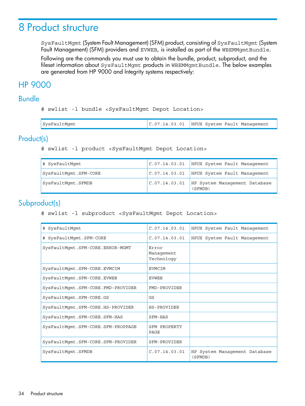# <span id="page-33-0"></span>8 Product structure

SysFaultMgmt (System Fault Management) (SFM) product, consisting of SysFaultMgmt (System Fault Management) (SFM) providers and EVWEB, is installed as part of the WBEMMgmtBundle.

<span id="page-33-1"></span>Following are the commands you must use to obtain the bundle, product, subproduct, and the fileset information about SysFaultMgmt products in WBEMMgmtBundle. The below examples are generated from HP 9000 and Integrity systems respectively:

# <span id="page-33-2"></span>HP 9000

## Bundle

# swlist -l bundle <SysFaultMgmt Depot Location>

<span id="page-33-3"></span>

| SysFaultMgmt | $C.07.14.03.01$ HPUX System Fault Management |
|--------------|----------------------------------------------|
|--------------|----------------------------------------------|

## Product(s)

# swlist -l product <SysFaultMgmt Depot Location>

<span id="page-33-4"></span>

| # SysFaultMqmt        |               | $C.07.14.03.01$ HPUX System Fault Management |
|-----------------------|---------------|----------------------------------------------|
| SysFaultMqmt.SFM-CORE |               | C.07.14.03.01 HPUX System Fault Management   |
| SysFaultMqmt.SFMDB    | C.07.14.03.01 | HP System Management Database<br>(SFMDB)     |

## Subproduct(s)

# swlist -l subproduct <SysFaultMgmt Depot Location>

| # SysFaultMqmt                     | C.07.14.03.01                     | HPUX System Fault Management             |
|------------------------------------|-----------------------------------|------------------------------------------|
| # SysFaultMqmt.SFM-CORE            | C.07.14.03.01                     | HPUX System Fault Management             |
| SysFaultMqmt.SFM-CORE.ERROR-MGMT   | Error<br>Management<br>Technology |                                          |
| SysFaultMqmt.SFM-CORE.EVMCIM       | <b>EVMCIM</b>                     |                                          |
| SysFaultMqmt.SFM-CORE.EVWEB        | <b>EVWEB</b>                      |                                          |
| SysFaultMqmt.SFM-CORE.FMD-PROVIDER | FMD-PROVIDER                      |                                          |
| SysFaultMgmt.SFM-CORE.GS           | GS                                |                                          |
| SysFaultMqmt.SFM-CORE.HS-PROVIDER  | <b>HS-PROVIDER</b>                |                                          |
| SysFaultMqmt.SFM-CORE.SFM-HAS      | SFM-HAS                           |                                          |
| SysFaultMqmt.SFM-CORE.SFM-PROPPAGE | SFM PROPERTY<br>PAGE              |                                          |
| SysFaultMgmt.SFM-CORE.SFM-PROVIDER | SFM-PROVIDER                      |                                          |
| SysFaultMqmt.SFMDB                 | C.07.14.03.01                     | HP System Management Database<br>(SFMDB) |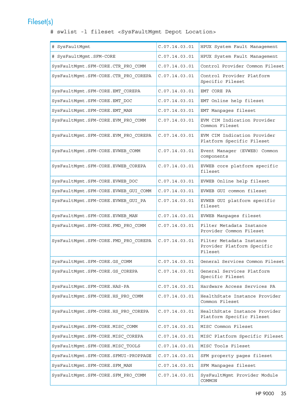# Fileset(s)

<span id="page-34-0"></span># swlist -l fileset <SysFaultMgmt Depot Location>

| # SysFaultMgmt                       | C.07.14.03.01 | HPUX System Fault Management                                      |
|--------------------------------------|---------------|-------------------------------------------------------------------|
| # SysFaultMgmt.SFM-CORE              | C.07.14.03.01 | HPUX System Fault Management                                      |
| SysFaultMgmt.SFM-CORE.CTR PRO COMM   | C.07.14.03.01 | Control Provider Common Fileset                                   |
| SysFaultMgmt.SFM-CORE.CTR PRO COREPA | C.07.14.03.01 | Control Provider Platform<br>Specific Fileset                     |
| SysFaultMgmt.SFM-CORE.EMT_COREPA     | C.07.14.03.01 | EMT CORE PA                                                       |
| SysFaultMgmt.SFM-CORE.EMT_DOC        | C.07.14.03.01 | EMT Online help fileset                                           |
| SysFaultMgmt.SFM-CORE.EMT_MAN        | C.07.14.03.01 | EMT Manpages fileset                                              |
| SysFaultMgmt.SFM-CORE.EVM_PRO_COMM   | C.07.14.03.01 | EVM CIM Indication Provider<br>Common Fileset                     |
| SysFaultMgmt.SFM-CORE.EVM_PRO_COREPA | C.07.14.03.01 | EVM CIM Indication Provider<br>Platform Specific Fileset          |
| SysFaultMgmt.SFM-CORE.EVWEB COMM     | C.07.14.03.01 | Event Manager (EVWEB) Common<br>components                        |
| SysFaultMgmt.SFM-CORE.EVWEB_COREPA   | C.07.14.03.01 | EVWEB core platform specific<br>fileset                           |
| SysFaultMgmt.SFM-CORE.EVWEB_DOC      | C.07.14.03.01 | EVWEB Online help fileset                                         |
| SysFaultMgmt.SFM-CORE.EVWEB_GUI_COMM | C.07.14.03.01 | EVWEB GUI common fileset                                          |
| SysFaultMgmt.SFM-CORE.EVWEB_GUI_PA   | C.07.14.03.01 | EVWEB GUI platform specific<br>fileset                            |
| SysFaultMgmt.SFM-CORE.EVWEB_MAN      | C.07.14.03.01 | EVWEB Manpages fileset                                            |
| SysFaultMgmt.SFM-CORE.FMD PRO COMM   | C.07.14.03.01 | Filter Metadata Instance<br>Provider Common Fileset               |
| SysFaultMgmt.SFM-CORE.FMD_PRO_COREPA | C.07.14.03.01 | Filter Metadata Instance<br>Provider Platform Specific<br>Fileset |
| SysFaultMgmt.SFM-CORE.GS_COMM        | C.07.14.03.01 | General Services Common Fileset                                   |
| SysFaultMgmt.SFM-CORE.GS_COREPA      | C.07.14.03.01 | General Services Platform<br>Specific Fileset                     |
| SysFaultMgmt.SFM-CORE.HAS-PA         | C.07.14.03.01 | Hardware Access Services PA                                       |
| SysFaultMqmt.SFM-CORE.HS PRO COMM    | C.07.14.03.01 | HealthState Instance Provider<br>Common Fileset                   |
| SysFaultMgmt.SFM-CORE.HS_PRO_COREPA  | C.07.14.03.01 | HealthState Instance Provider<br>Platform Specific Fileset        |
| SysFaultMgmt.SFM-CORE.MISC COMM      | C.07.14.03.01 | MISC Common Fileset                                               |
| SysFaultMgmt.SFM-CORE.MISC_COREPA    | C.07.14.03.01 | MISC Platform Specific Fileset                                    |
| SysFaultMgmt.SFM-CORE.MISC TOOLS     | C.07.14.03.01 | MISC Tools Fileset                                                |
| SysFaultMgmt.SFM-CORE.SFMUI-PROPPAGE | C.07.14.03.01 | SFM property pages fileset                                        |
| SysFaultMgmt.SFM-CORE.SFM_MAN        | C.07.14.03.01 | SFM Manpages fileset                                              |
| SysFaultMgmt.SFM-CORE.SFM_PRO_COMM   | C.07.14.03.01 | SysFaultMgmt Provider Module<br>COMMON                            |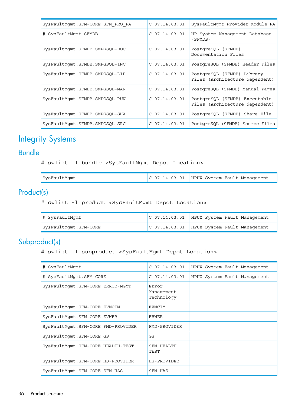| SysFaultMqmt.SFM-CORE.SFM PRO PA | C.07.14.03.01 | SysFaultMqmt Provider Module PA                                 |
|----------------------------------|---------------|-----------------------------------------------------------------|
| # SysFaultMqmt.SFMDB             | C.07.14.03.01 | HP System Management Database<br>(SFMDB)                        |
| SysFaultMqmt.SFMDB.SMPGSQL-DOC   | C.07.14.03.01 | PostgreSQL (SFMDB)<br>Documentation Files                       |
| SysFaultMqmt.SFMDB.SMPGSQL-INC   | C.07.14.03.01 | PostqreSQL (SFMDB) Header Files                                 |
| SysFaultMqmt.SFMDB.SMPGSOL-LIB   | C.07.14.03.01 | PostgreSOL (SFMDB) Library<br>Files (Architecture dependent)    |
| SysFaultMqmt.SFMDB.SMPGSQL-MAN   | C.07.14.03.01 | PostgreSQL (SFMDB) Manual Pages                                 |
| SysFaultMqmt.SFMDB.SMPGSOL-RUN   | C.07.14.03.01 | PostgreSOL (SFMDB) Executable<br>Files (Architecture dependent) |
| SysFaultMgmt.SFMDB.SMPGSOL-SHA   | C.07.14.03.01 | PostgreSOL (SFMDB) Share File                                   |
| SysFaultMgmt.SFMDB.SMPGSOL-SRC   | C.07.14.03.01 | PostgreSQL (SFMDB) Source Files                                 |

# <span id="page-35-1"></span><span id="page-35-0"></span>Integrity Systems

## Bundle

# swlist -l bundle <SysFaultMgmt Depot Location>

<span id="page-35-2"></span>

| SysFaultMgmt | $C.07.14.03.01$ HPUX System Fault Management |
|--------------|----------------------------------------------|
|              |                                              |

## Product(s)

# swlist -l product <SysFaultMgmt Depot Location>

<span id="page-35-3"></span>

| # SysFaultMqmt        | $ C.07.14.03.01 $ HPUX System Fault Management |
|-----------------------|------------------------------------------------|
| SysFaultMgmt.SFM-CORE | $ C.07.14.03.01 $ HPUX System Fault Management |

# Subproduct(s)

# swlist -l subproduct <SysFaultMgmt Depot Location>

| # SysFaultMqmt                     | C.07.14.03.01                     | HPUX System Fault Management |
|------------------------------------|-----------------------------------|------------------------------|
| # SysFaultMqmt.SFM-CORE            | C.07.14.03.01                     | HPUX System Fault Management |
| SysFaultMqmt.SFM-CORE.ERROR-MGMT   | Error<br>Management<br>Technology |                              |
| SysFaultMqmt.SFM-CORE.EVMCIM       | EVMCIM                            |                              |
| SysFaultMgmt.SFM-CORE.EVWEB        | <b>EVWEB</b>                      |                              |
| SysFaultMqmt.SFM-CORE.FMD-PROVIDER | FMD-PROVIDER                      |                              |
| SysFaultMqmt.SFM-CORE.GS           | GS                                |                              |
| SysFaultMqmt.SFM-CORE.HEALTH-TEST  | <b>SFM HEALTH</b><br>TEST         |                              |
| SysFaultMqmt.SFM-CORE.HS-PROVIDER  | <b>HS-PROVIDER</b>                |                              |
| SysFaultMqmt.SFM-CORE.SFM-HAS      | SFM-HAS                           |                              |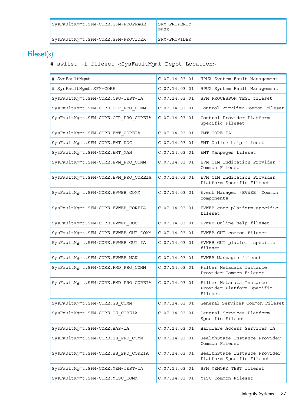| SysFaultMqmt.SFM-CORE.SFM-PROPPAGE | SFM PROPERTY<br>PAGE |  |
|------------------------------------|----------------------|--|
| SysFaultMgmt.SFM-CORE.SFM-PROVIDER | SFM-PROVIDER         |  |

# Fileset(s)

## <span id="page-36-0"></span># swlist -l fileset <SysFaultMgmt Depot Location>

| # SysFaultMgmt                       | C.07.14.03.01 | HPUX System Fault Management                                      |
|--------------------------------------|---------------|-------------------------------------------------------------------|
| # SysFaultMgmt.SFM-CORE              | C.07.14.03.01 | HPUX System Fault Management                                      |
| SysFaultMgmt.SFM-CORE.CPU-TEST-IA    | C.07.14.03.01 | SFM PROCESSOR TEST fileset                                        |
| SysFaultMgmt.SFM-CORE.CTR PRO COMM   | C.07.14.03.01 | Control Provider Common Fileset                                   |
| SysFaultMgmt.SFM-CORE.CTR_PRO_COREIA | C.07.14.03.01 | Control Provider Platform<br>Specific Fileset                     |
| SysFaultMgmt.SFM-CORE.EMT COREIA     | C.07.14.03.01 | EMT CORE IA                                                       |
| SysFaultMgmt.SFM-CORE.EMT DOC        | C.07.14.03.01 | EMT Online help fileset                                           |
| SysFaultMgmt.SFM-CORE.EMT_MAN        | C.07.14.03.01 | EMT Manpages fileset                                              |
| SysFaultMgmt.SFM-CORE.EVM_PRO_COMM   | C.07.14.03.01 | EVM CIM Indication Provider<br>Common Fileset                     |
| SysFaultMgmt.SFM-CORE.EVM PRO COREIA | C.07.14.03.01 | EVM CIM Indication Provider<br>Platform Specific Fileset          |
| SysFaultMgmt.SFM-CORE.EVWEB COMM     | C.07.14.03.01 | Event Manager (EVWEB) Common<br>components                        |
| SysFaultMgmt.SFM-CORE.EVWEB_COREIA   | C.07.14.03.01 | EVWEB core platform specific<br>fileset                           |
| SysFaultMgmt.SFM-CORE.EVWEB_DOC      | C.07.14.03.01 | EVWEB Online help fileset                                         |
| SysFaultMgmt.SFM-CORE.EVWEB_GUI_COMM | C.07.14.03.01 | EVWEB GUI common fileset                                          |
| SysFaultMgmt.SFM-CORE.EVWEB_GUI_IA   | C.07.14.03.01 | EVWEB GUI platform specific<br>fileset                            |
| SysFaultMgmt.SFM-CORE.EVWEB_MAN      | C.07.14.03.01 | EVWEB Manpages fileset                                            |
| SysFaultMgmt.SFM-CORE.FMD_PRO_COMM   | C.07.14.03.01 | Filter Metadata Instance<br>Provider Common Fileset               |
| SysFaultMgmt.SFM-CORE.FMD_PRO_COREIA | C.07.14.03.01 | Filter Metadata Instance<br>Provider Platform Specific<br>Fileset |
| SysFaultMgmt.SFM-CORE.GS_COMM        | C.07.14.03.01 | General Services Common Fileset                                   |
| SysFaultMqmt.SFM-CORE.GS COREIA      | C.07.14.03.01 | General Services Platform<br>Specific Fileset                     |
| SysFaultMgmt.SFM-CORE.HAS-IA         | C.07.14.03.01 | Hardware Access Services IA                                       |
| SysFaultMgmt.SFM-CORE.HS PRO COMM    | C.07.14.03.01 | HealthState Instance Provider<br>Common Fileset                   |
| SysFaultMgmt.SFM-CORE.HS PRO COREIA  | C.07.14.03.01 | HealthState Instance Provider<br>Platform Specific Fileset        |
| SysFaultMgmt.SFM-CORE.MEM-TEST-IA    | C.07.14.03.01 | SFM MEMORY TEST fileset                                           |
| SysFaultMgmt.SFM-CORE.MISC COMM      | C.07.14.03.01 | MISC Common Fileset                                               |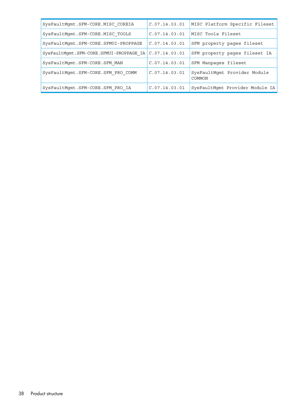| SysFaultMqmt.SFM-CORE.MISC COREIA                       | C.07.14.03.01 | MISC Platform Specific Fileset         |
|---------------------------------------------------------|---------------|----------------------------------------|
| SysFaultMqmt.SFM-CORE.MISC TOOLS                        | C.07.14.03.01 | MISC Tools Fileset                     |
| SysFaultMgmt.SFM-CORE.SFMUI-PROPPAGE                    | C.07.14.03.01 | SFM property pages fileset             |
| SysFaultMqmt.SFM-CORE.SFMUI-PROPPAGE IA $C.07.14.03.01$ |               | SFM property pages fileset IA          |
| SysFaultMqmt.SFM-CORE.SFM MAN                           | C.07.14.03.01 | SFM Manpages fileset                   |
| SysFaultMqmt.SFM-CORE.SFM PRO COMM                      | C.07.14.03.01 | SysFaultMqmt Provider Module<br>COMMON |
| SysFaultMqmt.SFM-CORE.SFM PRO IA                        | C.07.14.03.01 | SysFaultMqmt Provider Module IA        |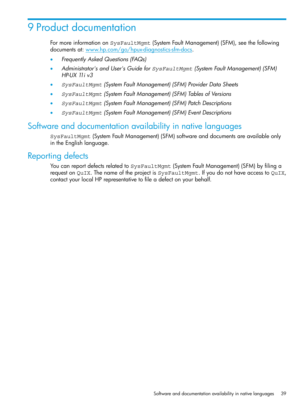# <span id="page-38-0"></span>9 Product documentation

For more information on SysFaultMgmt (System Fault Management) (SFM), see the following documents at: [www.hp.com/go/hpux-diagnostics-sfm-docs.](www.hp.com/go/hpux-diagnostics-sfm-docs)

- *Frequently Asked Questions (FAQs)*
- *Administrator's and User's Guide for SysFaultMgmt (System Fault Management) (SFM) HP-UX 11i v3*
- *SysFaultMgmt (System Fault Management) (SFM) Provider Data Sheets*
- *SysFaultMgmt (System Fault Management) (SFM) Tables of Versions*
- *SysFaultMgmt (System Fault Management) (SFM) Patch Descriptions*
- <span id="page-38-1"></span>• *SysFaultMgmt (System Fault Management) (SFM) Event Descriptions*

## Software and documentation availability in native languages

<span id="page-38-2"></span>SysFaultMgmt (System Fault Management) (SFM) software and documents are available only in the English language.

## Reporting defects

You can report defects related to SysFaultMgmt (System Fault Management) (SFM) by filing a request on QuIX. The name of the project is SysFaultMgmt. If you do not have access to QuIX, contact your local HP representative to file a defect on your behalf.